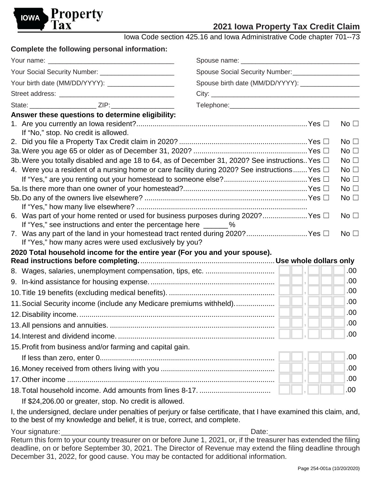

# **2021 Iowa Property Tax Credit Claim**

Iowa Code section 425.16 and Iowa Administrative Code chapter 701--73

| Complete the following personal information:                                                          |                                                   |                 |  |
|-------------------------------------------------------------------------------------------------------|---------------------------------------------------|-----------------|--|
|                                                                                                       |                                                   |                 |  |
| Your Social Security Number: _________________________                                                |                                                   |                 |  |
|                                                                                                       | Spouse birth date (MM/DD/YYYY): _________________ |                 |  |
|                                                                                                       |                                                   |                 |  |
| State: ___________________________________ ZIP: ________________________________                      |                                                   |                 |  |
| Answer these questions to determine eligibility:                                                      |                                                   |                 |  |
| If "No," stop. No credit is allowed.                                                                  |                                                   | No $\square$    |  |
|                                                                                                       |                                                   | No $\square$    |  |
|                                                                                                       |                                                   | No $\square$    |  |
| 3b. Were you totally disabled and age 18 to 64, as of December 31, 2020? See instructions. Yes $\Box$ |                                                   | No $\Box$       |  |
| 4. Were you a resident of a nursing home or care facility during 2020? See instructions Yes $\Box$    |                                                   | No $\square$    |  |
|                                                                                                       |                                                   | No $\square$    |  |
|                                                                                                       |                                                   | No $\square$    |  |
|                                                                                                       |                                                   | No $\Box$       |  |
| 6. Was part of your home rented or used for business purposes during 2020? Yes $\Box$                 |                                                   | No <sub>1</sub> |  |
| If "Yes," see instructions and enter the percentage here _______ %                                    |                                                   |                 |  |
| 7. Was any part of the land in your homestead tract rented during 2020? Yes $\Box$                    |                                                   | No <sub>1</sub> |  |
| If "Yes," how many acres were used exclusively by you?                                                |                                                   |                 |  |
| 2020 Total household income for the entire year (For you and your spouse).                            |                                                   |                 |  |
|                                                                                                       |                                                   | .00             |  |
|                                                                                                       |                                                   | .00             |  |
|                                                                                                       |                                                   | .00             |  |
|                                                                                                       |                                                   | .00             |  |
|                                                                                                       |                                                   |                 |  |
|                                                                                                       |                                                   | .00             |  |
|                                                                                                       |                                                   | .00             |  |
|                                                                                                       |                                                   | .00             |  |
| 15. Profit from business and/or farming and capital gain.                                             |                                                   |                 |  |
|                                                                                                       |                                                   | .00             |  |
|                                                                                                       |                                                   | .00             |  |
|                                                                                                       |                                                   | .00             |  |
|                                                                                                       |                                                   | .00.            |  |
| If \$24,206.00 or greater, stop. No credit is allowed.                                                |                                                   |                 |  |

I, the undersigned, declare under penalties of perjury or false certificate, that I have examined this claim, and, to the best of my knowledge and belief, it is true, correct, and complete.

Your signature:\_\_\_\_\_\_\_\_\_\_\_\_\_\_\_\_\_\_\_\_\_\_\_\_\_\_\_\_\_\_\_\_\_\_\_\_\_\_\_\_\_\_\_\_\_\_ Date:\_\_\_\_\_\_\_\_\_\_\_\_\_\_\_\_\_\_\_\_\_\_ Return this form to your county treasurer on or before June 1, 2021, or, if the treasurer has extended the filing deadline, on or before September 30, 2021. The Director of Revenue may extend the filing deadline through December 31, 2022, for good cause. You may be contacted for additional information.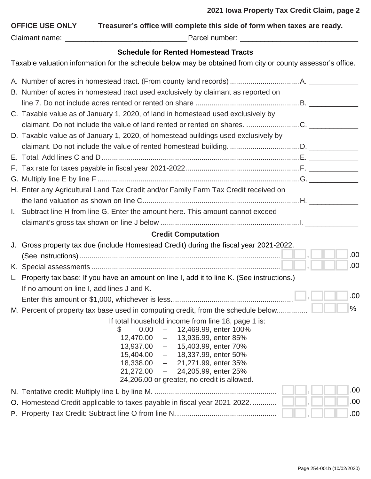| Treasurer's office will complete this side of form when taxes are ready.<br><b>OFFICE USE ONLY</b>                                                                                                         |    |      |
|------------------------------------------------------------------------------------------------------------------------------------------------------------------------------------------------------------|----|------|
| <b>Schedule for Rented Homestead Tracts</b>                                                                                                                                                                |    |      |
| Taxable valuation information for the schedule below may be obtained from city or county assessor's office.                                                                                                |    |      |
|                                                                                                                                                                                                            |    |      |
| B. Number of acres in homestead tract used exclusively by claimant as reported on                                                                                                                          |    |      |
| C. Taxable value as of January 1, 2020, of land in homestead used exclusively by                                                                                                                           |    |      |
|                                                                                                                                                                                                            |    |      |
| D. Taxable value as of January 1, 2020, of homestead buildings used exclusively by                                                                                                                         |    |      |
|                                                                                                                                                                                                            |    |      |
|                                                                                                                                                                                                            |    |      |
|                                                                                                                                                                                                            |    |      |
|                                                                                                                                                                                                            |    |      |
| H. Enter any Agricultural Land Tax Credit and/or Family Farm Tax Credit received on                                                                                                                        |    |      |
|                                                                                                                                                                                                            |    |      |
| I. Subtract line H from line G. Enter the amount here. This amount cannot exceed                                                                                                                           |    |      |
|                                                                                                                                                                                                            |    |      |
| <b>Credit Computation</b>                                                                                                                                                                                  |    |      |
| J. Gross property tax due (include Homestead Credit) during the fiscal year 2021-2022.                                                                                                                     |    |      |
|                                                                                                                                                                                                            | JЛ | .00. |
|                                                                                                                                                                                                            |    | .00  |
| L. Property tax base: If you have an amount on line I, add it to line K. (See instructions.)                                                                                                               |    |      |
| If no amount on line I, add lines J and K.                                                                                                                                                                 |    | .00  |
|                                                                                                                                                                                                            |    | %    |
| M. Percent of property tax base used in computing credit, from the schedule below<br>If total household income from line 18, page 1 is:<br>12,469.99, enter 100%<br>\$<br>0.00<br>$\overline{\phantom{m}}$ |    |      |
| $12,470.00 -$<br>13,936.99, enter 85%                                                                                                                                                                      |    |      |
| 15,403.99, enter 70%<br>$13,937.00 -$<br>$15,404.00 -$<br>18,337.99, enter 50%                                                                                                                             |    |      |
| $18,338.00 -$<br>21,271.99, enter 35%                                                                                                                                                                      |    |      |
| 24,205.99, enter 25%<br>$21,272.00 -$<br>24,206.00 or greater, no credit is allowed.                                                                                                                       |    |      |
|                                                                                                                                                                                                            |    | .00  |
| Homestead Credit applicable to taxes payable in fiscal year 2021-2022.<br>O.                                                                                                                               |    | .00  |
|                                                                                                                                                                                                            |    | .00  |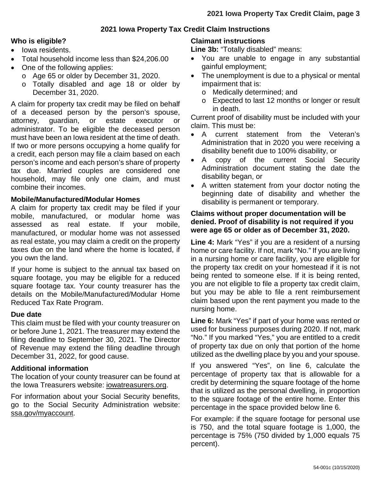## **2021 Iowa Property Tax Credit Claim Instructions**

#### **Who is eligible?**

- Iowa residents.
- Total household income less than \$24,206.00
- One of the following applies:
	- o Age 65 or older by December 31, 2020.
	- o Totally disabled and age 18 or older by December 31, 2020.

A claim for property tax credit may be filed on behalf of a deceased person by the person's spouse, attorney, guardian, or estate executor or administrator. To be eligible the deceased person must have been an Iowa resident at the time of death. If two or more persons occupying a home qualify for a credit, each person may file a claim based on each person's income and each person's share of property tax due. Married couples are considered one household, may file only one claim, and must combine their incomes.

#### **Mobile/Manufactured/Modular Homes**

A claim for property tax credit may be filed if your mobile, manufactured, or modular home was assessed as real estate. If your mobile, manufactured, or modular home was not assessed as real estate, you may claim a credit on the property taxes due on the land where the home is located, if you own the land.

If your home is subject to the annual tax based on square footage, you may be eligible for a reduced square footage tax. Your county treasurer has the details on the Mobile/Manufactured/Modular Home Reduced Tax Rate Program.

#### **Due date**

This claim must be filed with your county treasurer on or before June 1, 2021. The treasurer may extend the filing deadline to September 30, 2021. The Director of Revenue may extend the filing deadline through December 31, 2022, for good cause.

#### **Additional information**

The location of your county treasurer can be found at the Iowa Treasurers website: [iowatreasurers.org.](https://www.iowatreasurers.org/)

For information about your Social Security benefits, go to the Social Security Administration website: [ssa.gov/myaccount.](https://www.ssa.gov/myaccount/)

#### **Claimant instructions**

Line 3b: "Totally disabled" means:

- You are unable to engage in any substantial gainful employment;
- The unemployment is due to a physical or mental impairment that is:
	- o Medically determined; and
	- o Expected to last 12 months or longer or result in death.

Current proof of disability must be included with your claim. This must be:

- A current statement from the Veteran's Administration that in 2020 you were receiving a disability benefit due to 100% disability, or
- A copy of the current Social Security Administration document stating the date the disability began, or
- A written statement from your doctor noting the beginning date of disability and whether the disability is permanent or temporary.

### **Claims without proper documentation will be denied. Proof of disability is not required if you were age 65 or older as of December 31, 2020.**

**Line 4:** Mark "Yes" if you are a resident of a nursing home or care facility. If not, mark "No." If you are living in a nursing home or care facility, you are eligible for the property tax credit on your homestead if it is not being rented to someone else. If it is being rented, you are not eligible to file a property tax credit claim, but you may be able to file a rent reimbursement claim based upon the rent payment you made to the nursing home.

**Line 6:** Mark "Yes" if part of your home was rented or used for business purposes during 2020. If not, mark "No." If you marked "Yes," you are entitled to a credit of property tax due on only that portion of the home utilized as the dwelling place by you and your spouse.

If you answered "Yes", on line 6, calculate the percentage of property tax that is allowable for a credit by determining the square footage of the home that is utilized as the personal dwelling, in proportion to the square footage of the entire home. Enter this percentage in the space provided below line 6.

For example: if the square footage for personal use is 750, and the total square footage is 1,000, the percentage is 75% (750 divided by 1,000 equals 75 percent).